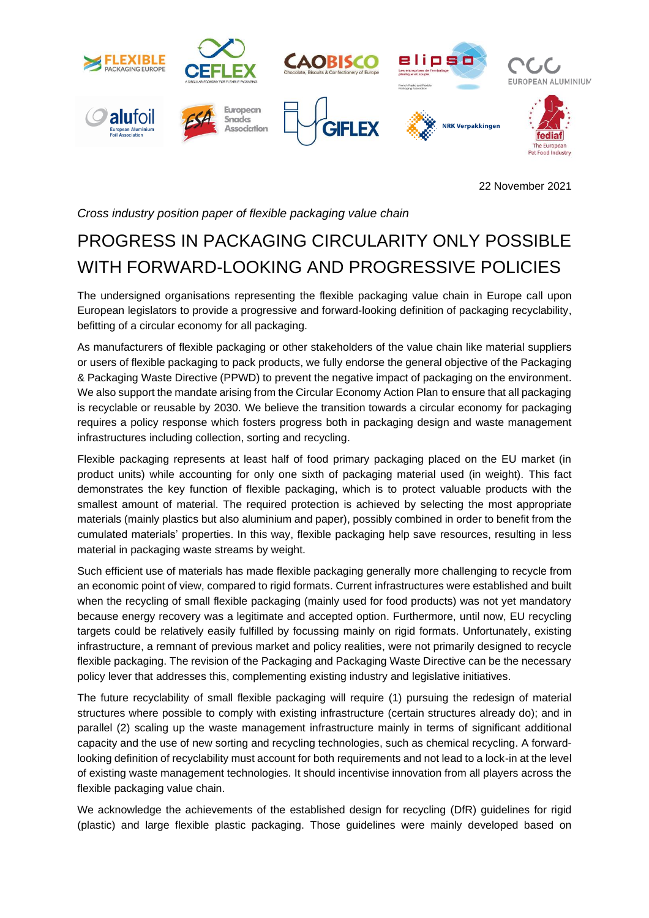

22 November 2021

*Cross industry position paper of flexible packaging value chain*

## PROGRESS IN PACKAGING CIRCULARITY ONLY POSSIBLE WITH FORWARD-LOOKING AND PROGRESSIVE POLICIES

The undersigned organisations representing the flexible packaging value chain in Europe call upon European legislators to provide a progressive and forward-looking definition of packaging recyclability, befitting of a circular economy for all packaging.

As manufacturers of flexible packaging or other stakeholders of the value chain like material suppliers or users of flexible packaging to pack products, we fully endorse the general objective of the Packaging & Packaging Waste Directive (PPWD) to prevent the negative impact of packaging on the environment. We also support the mandate arising from the Circular Economy Action Plan to ensure that all packaging is recyclable or reusable by 2030. We believe the transition towards a circular economy for packaging requires a policy response which fosters progress both in packaging design and waste management infrastructures including collection, sorting and recycling.

Flexible packaging represents at least half of food primary packaging placed on the EU market (in product units) while accounting for only one sixth of packaging material used (in weight). This fact demonstrates the key function of flexible packaging, which is to protect valuable products with the smallest amount of material. The required protection is achieved by selecting the most appropriate materials (mainly plastics but also aluminium and paper), possibly combined in order to benefit from the cumulated materials' properties. In this way, flexible packaging help save resources, resulting in less material in packaging waste streams by weight.

Such efficient use of materials has made flexible packaging generally more challenging to recycle from an economic point of view, compared to rigid formats. Current infrastructures were established and built when the recycling of small flexible packaging (mainly used for food products) was not yet mandatory because energy recovery was a legitimate and accepted option. Furthermore, until now, EU recycling targets could be relatively easily fulfilled by focussing mainly on rigid formats. Unfortunately, existing infrastructure, a remnant of previous market and policy realities, were not primarily designed to recycle flexible packaging. The revision of the Packaging and Packaging Waste Directive can be the necessary policy lever that addresses this, complementing existing industry and legislative initiatives.

The future recyclability of small flexible packaging will require (1) pursuing the redesign of material structures where possible to comply with existing infrastructure (certain structures already do); and in parallel (2) scaling up the waste management infrastructure mainly in terms of significant additional capacity and the use of new sorting and recycling technologies, such as chemical recycling. A forwardlooking definition of recyclability must account for both requirements and not lead to a lock-in at the level of existing waste management technologies. It should incentivise innovation from all players across the flexible packaging value chain.

We acknowledge the achievements of the established design for recycling (DfR) guidelines for rigid (plastic) and large flexible plastic packaging. Those guidelines were mainly developed based on